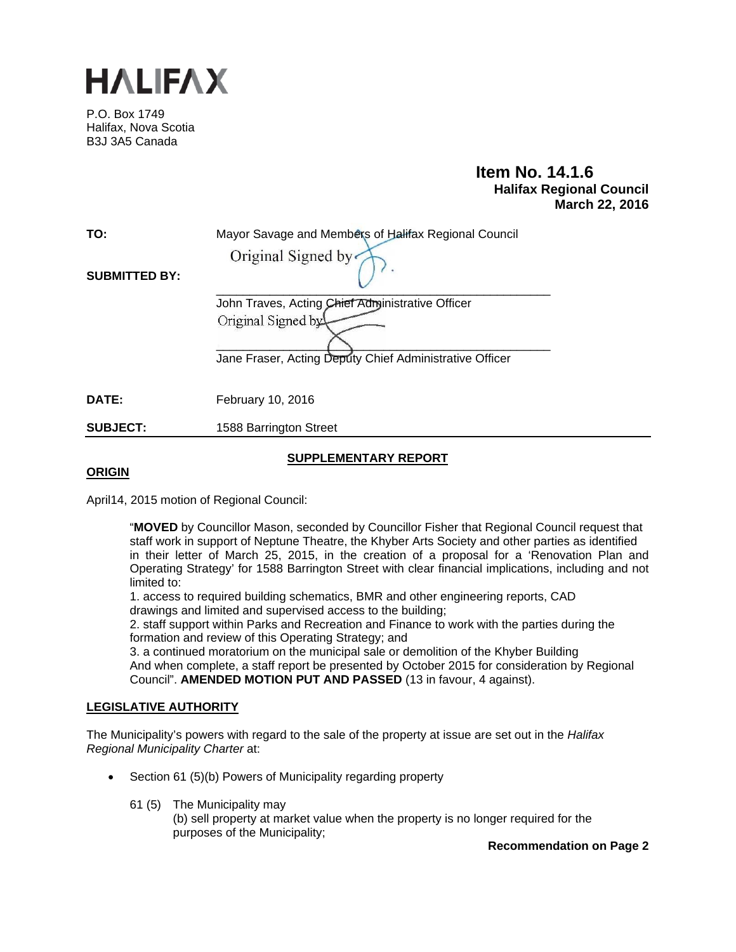

P.O. Box 1749 Halifax, Nova Scotia B3J 3A5 Canada

# **Item No. 14.1.6 Halifax Regional Council March 22, 2016**

| TO:<br><b>SUBMITTED BY:</b> | Mayor Savage and Members of Halifax Regional Council<br>Original Signed by                                                        |
|-----------------------------|-----------------------------------------------------------------------------------------------------------------------------------|
|                             | John Traves, Acting Chief Administrative Officer<br>Original Signed by<br>Jane Fraser, Acting Deputy Chief Administrative Officer |
| DATE:                       | <b>February 10, 2016</b>                                                                                                          |
| <b>SUBJECT:</b>             | 1588 Barrington Street                                                                                                            |

## **SUPPLEMENTARY REPORT**

## **ORIGIN**

April14, 2015 motion of Regional Council:

"**MOVED** by Councillor Mason, seconded by Councillor Fisher that Regional Council request that staff work in support of Neptune Theatre, the Khyber Arts Society and other parties as identified in their letter of March 25, 2015, in the creation of a proposal for a 'Renovation Plan and Operating Strategy' for 1588 Barrington Street with clear financial implications, including and not limited to:

1. access to required building schematics, BMR and other engineering reports, CAD drawings and limited and supervised access to the building;

2. staff support within Parks and Recreation and Finance to work with the parties during the formation and review of this Operating Strategy; and

3. a continued moratorium on the municipal sale or demolition of the Khyber Building And when complete, a staff report be presented by October 2015 for consideration by Regional Council". **AMENDED MOTION PUT AND PASSED** (13 in favour, 4 against).

## **LEGISLATIVE AUTHORITY**

The Municipality's powers with regard to the sale of the property at issue are set out in the *Halifax Regional Municipality Charter* at:

- Section 61 (5)(b) Powers of Municipality regarding property
	- 61 (5) The Municipality may

(b) sell property at market value when the property is no longer required for the purposes of the Municipality;

**Recommendation on Page 2**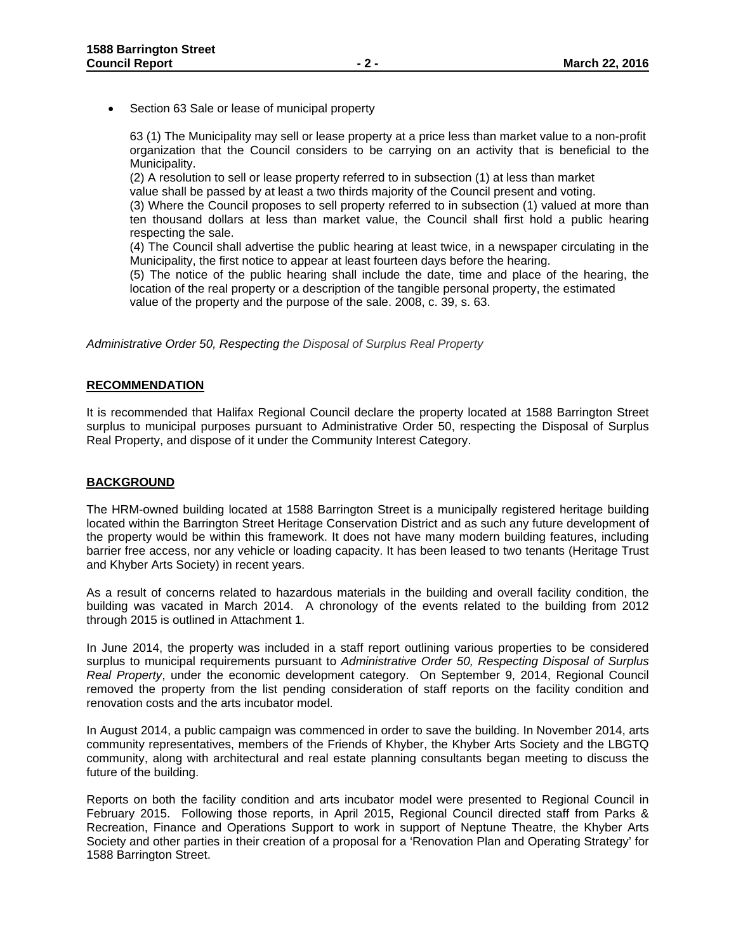Section 63 Sale or lease of municipal property

63 (1) The Municipality may sell or lease property at a price less than market value to a non-profit organization that the Council considers to be carrying on an activity that is beneficial to the Municipality.

(2) A resolution to sell or lease property referred to in subsection (1) at less than market value shall be passed by at least a two thirds majority of the Council present and voting.

(3) Where the Council proposes to sell property referred to in subsection (1) valued at more than ten thousand dollars at less than market value, the Council shall first hold a public hearing respecting the sale.

(4) The Council shall advertise the public hearing at least twice, in a newspaper circulating in the Municipality, the first notice to appear at least fourteen days before the hearing.

(5) The notice of the public hearing shall include the date, time and place of the hearing, the location of the real property or a description of the tangible personal property, the estimated value of the property and the purpose of the sale. 2008, c. 39, s. 63.

*Administrative Order 50, Respecting the Disposal of Surplus Real Property*

#### **RECOMMENDATION**

It is recommended that Halifax Regional Council declare the property located at 1588 Barrington Street surplus to municipal purposes pursuant to Administrative Order 50, respecting the Disposal of Surplus Real Property, and dispose of it under the Community Interest Category.

#### **BACKGROUND**

The HRM-owned building located at 1588 Barrington Street is a municipally registered heritage building located within the Barrington Street Heritage Conservation District and as such any future development of the property would be within this framework. It does not have many modern building features, including barrier free access, nor any vehicle or loading capacity. It has been leased to two tenants (Heritage Trust and Khyber Arts Society) in recent years.

As a result of concerns related to hazardous materials in the building and overall facility condition, the building was vacated in March 2014. A chronology of the events related to the building from 2012 through 2015 is outlined in Attachment 1.

In June 2014, the property was included in a staff report outlining various properties to be considered surplus to municipal requirements pursuant to *Administrative Order 50, Respecting Disposal of Surplus Real Property*, under the economic development category.On September 9, 2014, Regional Council removed the property from the list pending consideration of staff reports on the facility condition and renovation costs and the arts incubator model.

In August 2014, a public campaign was commenced in order to save the building. In November 2014, arts community representatives, members of the Friends of Khyber, the Khyber Arts Society and the LBGTQ community, along with architectural and real estate planning consultants began meeting to discuss the future of the building.

Reports on both the facility condition and arts incubator model were presented to Regional Council in February 2015. Following those reports, in April 2015, Regional Council directed staff from Parks & Recreation, Finance and Operations Support to work in support of Neptune Theatre, the Khyber Arts Society and other parties in their creation of a proposal for a 'Renovation Plan and Operating Strategy' for 1588 Barrington Street.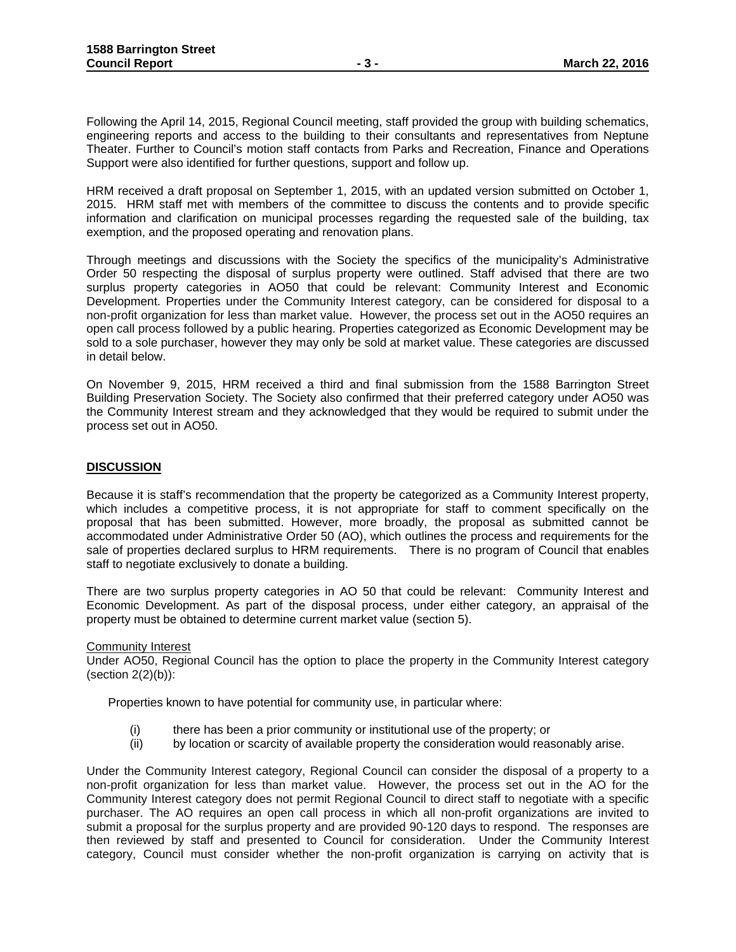Following the April 14, 2015, Regional Council meeting, staff provided the group with building schematics, engineering reports and access to the building to their consultants and representatives from Neptune Theater. Further to Council's motion staff contacts from Parks and Recreation, Finance and Operations Support were also identified for further questions, support and follow up.

HRM received a draft proposal on September 1, 2015, with an updated version submitted on October 1, 2015. HRM staff met with members of the committee to discuss the contents and to provide specific information and clarification on municipal processes regarding the requested sale of the building, tax exemption, and the proposed operating and renovation plans.

Through meetings and discussions with the Society the specifics of the municipality's Administrative Order 50 respecting the disposal of surplus property were outlined. Staff advised that there are two surplus property categories in AO50 that could be relevant: Community Interest and Economic Development. Properties under the Community Interest category, can be considered for disposal to a non-profit organization for less than market value. However, the process set out in the AO50 requires an open call process followed by a public hearing. Properties categorized as Economic Development may be sold to a sole purchaser, however they may only be sold at market value. These categories are discussed in detail below.

On November 9, 2015, HRM received a third and final submission from the 1588 Barrington Street Building Preservation Society. The Society also confirmed that their preferred category under AO50 was the Community Interest stream and they acknowledged that they would be required to submit under the process set out in AO50.

### **DISCUSSION**

Because it is staff's recommendation that the property be categorized as a Community Interest property, which includes a competitive process, it is not appropriate for staff to comment specifically on the proposal that has been submitted. However, more broadly, the proposal as submitted cannot be accommodated under Administrative Order 50 (AO), which outlines the process and requirements for the sale of properties declared surplus to HRM requirements. There is no program of Council that enables staff to negotiate exclusively to donate a building.

There are two surplus property categories in AO 50 that could be relevant: Community Interest and Economic Development. As part of the disposal process, under either category, an appraisal of the property must be obtained to determine current market value (section 5).

#### Community Interest

Under AO50, Regional Council has the option to place the property in the Community Interest category (section  $2(2)(b)$ ):

Properties known to have potential for community use, in particular where:

- (i) there has been a prior community or institutional use of the property; or
- (ii) by location or scarcity of available property the consideration would reasonably arise.

Under the Community Interest category, Regional Council can consider the disposal of a property to a non-profit organization for less than market value. However, the process set out in the AO for the Community Interest category does not permit Regional Council to direct staff to negotiate with a specific purchaser. The AO requires an open call process in which all non-profit organizations are invited to submit a proposal for the surplus property and are provided 90-120 days to respond. The responses are then reviewed by staff and presented to Council for consideration. Under the Community Interest category, Council must consider whether the non-profit organization is carrying on activity that is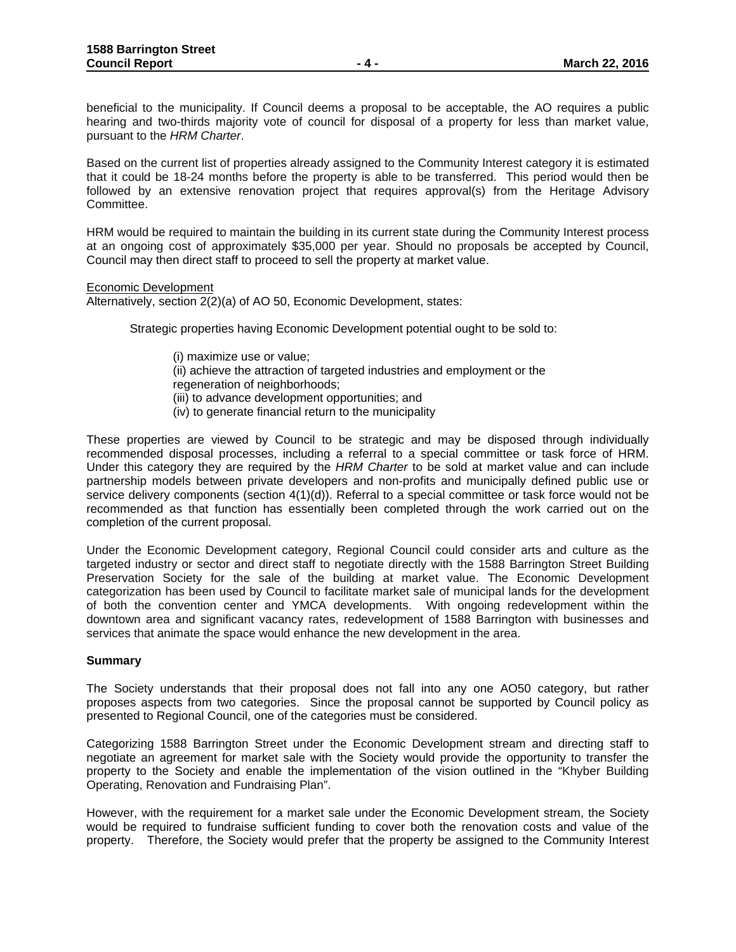beneficial to the municipality. If Council deems a proposal to be acceptable, the AO requires a public hearing and two-thirds majority vote of council for disposal of a property for less than market value, pursuant to the *HRM Charter*.

Based on the current list of properties already assigned to the Community Interest category it is estimated that it could be 18-24 months before the property is able to be transferred. This period would then be followed by an extensive renovation project that requires approval(s) from the Heritage Advisory Committee.

HRM would be required to maintain the building in its current state during the Community Interest process at an ongoing cost of approximately \$35,000 per year. Should no proposals be accepted by Council, Council may then direct staff to proceed to sell the property at market value.

Economic Development

Alternatively, section 2(2)(a) of AO 50, Economic Development, states:

Strategic properties having Economic Development potential ought to be sold to:

- (i) maximize use or value; (ii) achieve the attraction of targeted industries and employment or the regeneration of neighborhoods; (iii) to advance development opportunities; and
- (iv) to generate financial return to the municipality

These properties are viewed by Council to be strategic and may be disposed through individually recommended disposal processes, including a referral to a special committee or task force of HRM. Under this category they are required by the *HRM Charter* to be sold at market value and can include partnership models between private developers and non-profits and municipally defined public use or service delivery components (section 4(1)(d)). Referral to a special committee or task force would not be recommended as that function has essentially been completed through the work carried out on the completion of the current proposal.

Under the Economic Development category, Regional Council could consider arts and culture as the targeted industry or sector and direct staff to negotiate directly with the 1588 Barrington Street Building Preservation Society for the sale of the building at market value. The Economic Development categorization has been used by Council to facilitate market sale of municipal lands for the development of both the convention center and YMCA developments. With ongoing redevelopment within the downtown area and significant vacancy rates, redevelopment of 1588 Barrington with businesses and services that animate the space would enhance the new development in the area.

#### **Summary**

The Society understands that their proposal does not fall into any one AO50 category, but rather proposes aspects from two categories. Since the proposal cannot be supported by Council policy as presented to Regional Council, one of the categories must be considered.

Categorizing 1588 Barrington Street under the Economic Development stream and directing staff to negotiate an agreement for market sale with the Society would provide the opportunity to transfer the property to the Society and enable the implementation of the vision outlined in the "Khyber Building Operating, Renovation and Fundraising Plan".

However, with the requirement for a market sale under the Economic Development stream, the Society would be required to fundraise sufficient funding to cover both the renovation costs and value of the property. Therefore, the Society would prefer that the property be assigned to the Community Interest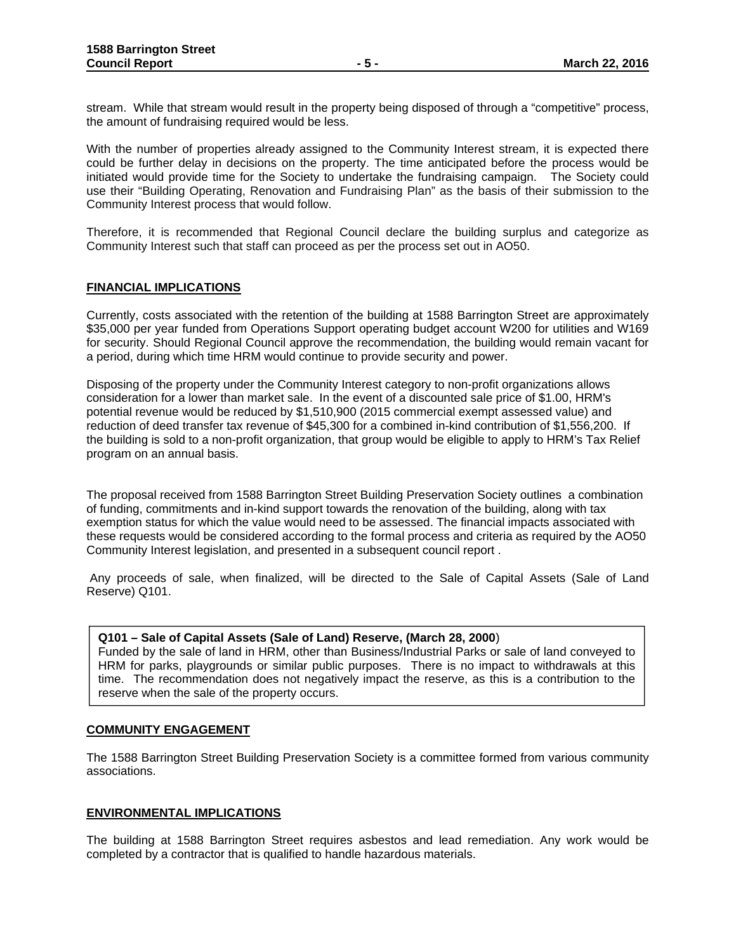stream. While that stream would result in the property being disposed of through a "competitive" process, the amount of fundraising required would be less.

With the number of properties already assigned to the Community Interest stream, it is expected there could be further delay in decisions on the property. The time anticipated before the process would be initiated would provide time for the Society to undertake the fundraising campaign. The Society could use their "Building Operating, Renovation and Fundraising Plan" as the basis of their submission to the Community Interest process that would follow.

Therefore, it is recommended that Regional Council declare the building surplus and categorize as Community Interest such that staff can proceed as per the process set out in AO50.

### **FINANCIAL IMPLICATIONS**

Currently, costs associated with the retention of the building at 1588 Barrington Street are approximately \$35,000 per year funded from Operations Support operating budget account W200 for utilities and W169 for security. Should Regional Council approve the recommendation, the building would remain vacant for a period, during which time HRM would continue to provide security and power.

Disposing of the property under the Community Interest category to non-profit organizations allows consideration for a lower than market sale. In the event of a discounted sale price of \$1.00, HRM's potential revenue would be reduced by \$1,510,900 (2015 commercial exempt assessed value) and reduction of deed transfer tax revenue of \$45,300 for a combined in-kind contribution of \$1,556,200. If the building is sold to a non-profit organization, that group would be eligible to apply to HRM's Tax Relief program on an annual basis.

The proposal received from 1588 Barrington Street Building Preservation Society outlines a combination of funding, commitments and in-kind support towards the renovation of the building, along with tax exemption status for which the value would need to be assessed. The financial impacts associated with these requests would be considered according to the formal process and criteria as required by the AO50 Community Interest legislation, and presented in a subsequent council report .

 Any proceeds of sale, when finalized, will be directed to the Sale of Capital Assets (Sale of Land Reserve) Q101.

#### **Q101 – Sale of Capital Assets (Sale of Land) Reserve, (March 28, 2000**)

Funded by the sale of land in HRM, other than Business/Industrial Parks or sale of land conveyed to HRM for parks, playgrounds or similar public purposes. There is no impact to withdrawals at this time. The recommendation does not negatively impact the reserve, as this is a contribution to the reserve when the sale of the property occurs.

#### **COMMUNITY ENGAGEMENT**

The 1588 Barrington Street Building Preservation Society is a committee formed from various community associations.

#### **ENVIRONMENTAL IMPLICATIONS**

The building at 1588 Barrington Street requires asbestos and lead remediation. Any work would be completed by a contractor that is qualified to handle hazardous materials.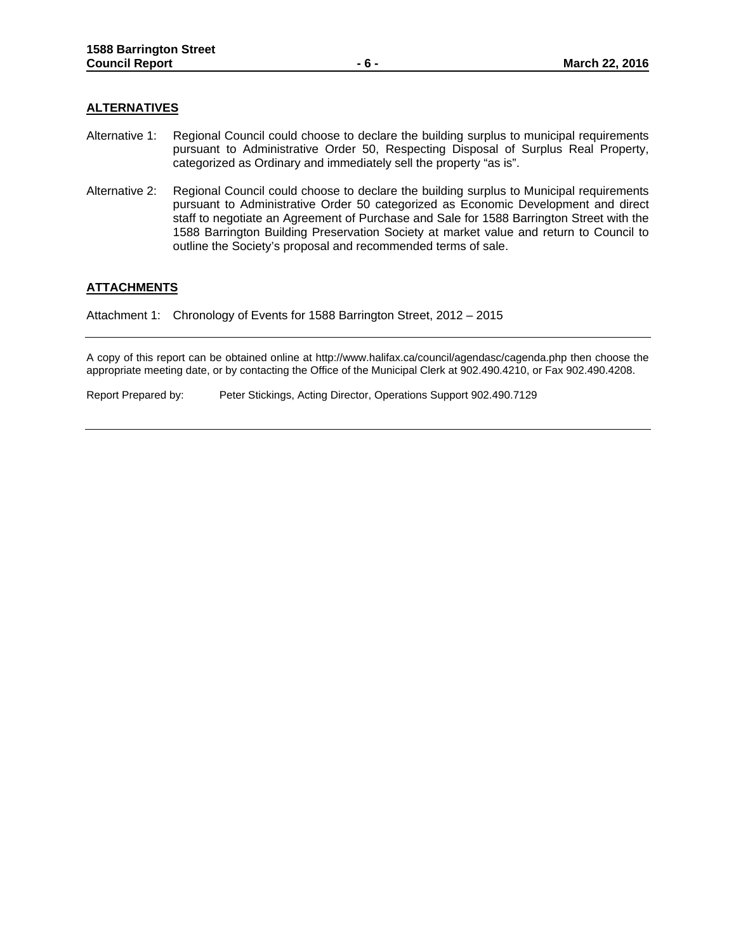#### **ALTERNATIVES**

- Alternative 1: Regional Council could choose to declare the building surplus to municipal requirements pursuant to Administrative Order 50, Respecting Disposal of Surplus Real Property, categorized as Ordinary and immediately sell the property "as is".
- Alternative 2: Regional Council could choose to declare the building surplus to Municipal requirements pursuant to Administrative Order 50 categorized as Economic Development and direct staff to negotiate an Agreement of Purchase and Sale for 1588 Barrington Street with the 1588 Barrington Building Preservation Society at market value and return to Council to outline the Society's proposal and recommended terms of sale.

#### **ATTACHMENTS**

Attachment 1: Chronology of Events for 1588 Barrington Street, 2012 – 2015

A copy of this report can be obtained online at http://www.halifax.ca/council/agendasc/cagenda.php then choose the appropriate meeting date, or by contacting the Office of the Municipal Clerk at 902.490.4210, or Fax 902.490.4208.

Report Prepared by: Peter Stickings, Acting Director, Operations Support 902.490.7129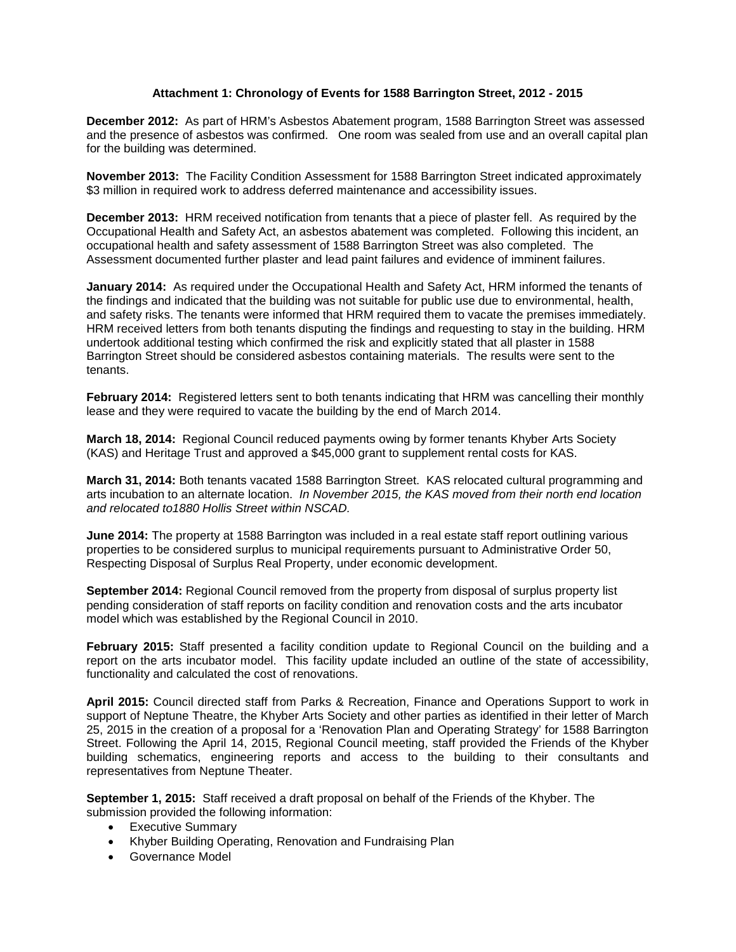### **Attachment 1: Chronology of Events for 1588 Barrington Street, 2012 - 2015**

**December 2012:** As part of HRM's Asbestos Abatement program, 1588 Barrington Street was assessed and the presence of asbestos was confirmed. One room was sealed from use and an overall capital plan for the building was determined.

**November 2013:** The Facility Condition Assessment for 1588 Barrington Street indicated approximately \$3 million in required work to address deferred maintenance and accessibility issues.

**December 2013:** HRM received notification from tenants that a piece of plaster fell. As required by the Occupational Health and Safety Act, an asbestos abatement was completed.Following this incident, an occupational health and safety assessment of 1588 Barrington Street was also completed. The Assessment documented further plaster and lead paint failures and evidence of imminent failures.

**January 2014:** As required under the Occupational Health and Safety Act, HRM informed the tenants of the findings and indicated that the building was not suitable for public use due to environmental, health, and safety risks. The tenants were informed that HRM required them to vacate the premises immediately. HRM received letters from both tenants disputing the findings and requesting to stay in the building. HRM undertook additional testing which confirmed the risk and explicitly stated that all plaster in 1588 Barrington Street should be considered asbestos containing materials. The results were sent to the tenants.

**February 2014:** Registered letters sent to both tenants indicating that HRM was cancelling their monthly lease and they were required to vacate the building by the end of March 2014.

**March 18, 2014:** Regional Council reduced payments owing by former tenants Khyber Arts Society (KAS) and Heritage Trust and approved a \$45,000 grant to supplement rental costs for KAS.

**March 31, 2014:** Both tenants vacated 1588 Barrington Street. KAS relocated cultural programming and arts incubation to an alternate location. *In November 2015, the KAS moved from their north end location and relocated to1880 Hollis Street within NSCAD.*

**June 2014:** The property at 1588 Barrington was included in a real estate staff report outlining various properties to be considered surplus to municipal requirements pursuant to Administrative Order 50, Respecting Disposal of Surplus Real Property, under economic development.

**September 2014:** Regional Council removed from the property from disposal of surplus property list pending consideration of staff reports on facility condition and renovation costs and the arts incubator model which was established by the Regional Council in 2010.

**February 2015:** Staff presented a facility condition update to Regional Council on the building and a report on the arts incubator model. This facility update included an outline of the state of accessibility, functionality and calculated the cost of renovations.

**April 2015:** Council directed staff from Parks & Recreation, Finance and Operations Support to work in support of Neptune Theatre, the Khyber Arts Society and other parties as identified in their letter of March 25, 2015 in the creation of a proposal for a 'Renovation Plan and Operating Strategy' for 1588 Barrington Street. Following the April 14, 2015, Regional Council meeting, staff provided the Friends of the Khyber building schematics, engineering reports and access to the building to their consultants and representatives from Neptune Theater.

**September 1, 2015:** Staff received a draft proposal on behalf of the Friends of the Khyber. The submission provided the following information:

- Executive Summary
- Khyber Building Operating, Renovation and Fundraising Plan
- Governance Model